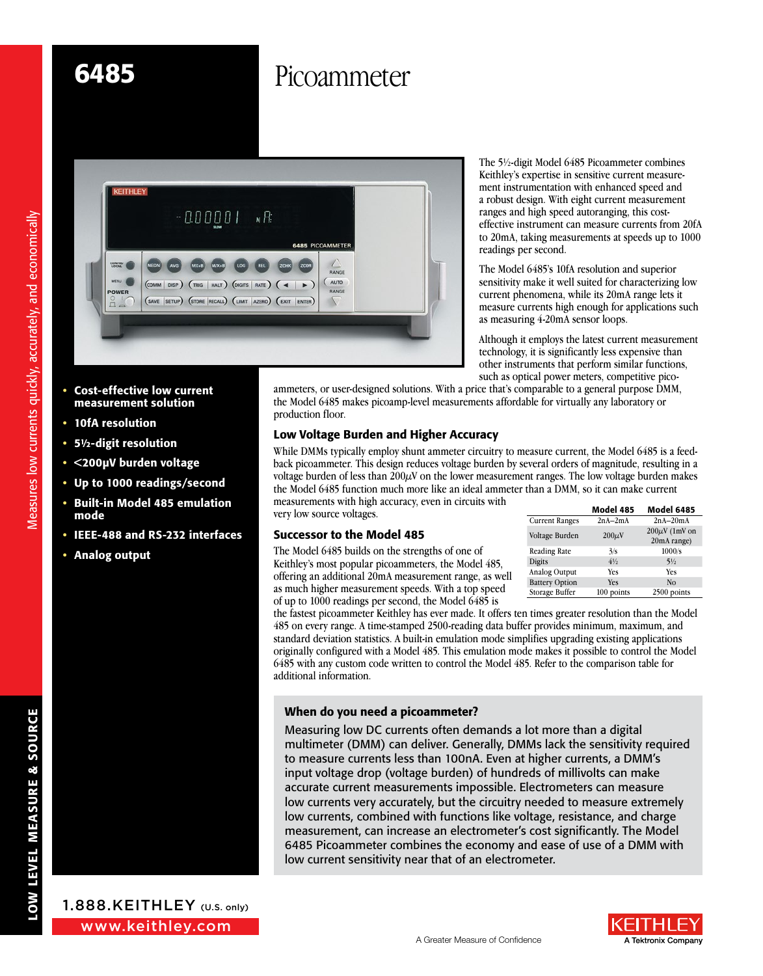# 6485 Picoammeter



- Cost-effective low current measurement solution
- 10fA resolution
- 5½-digit resolution
- <200µV burden voltage
- Up to 1000 readings/second
- Built-in Model 485 emulation mode
- IEEE-488 and RS-232 interfaces
- Analog output



Measures low currents quickly, accurately, and economically

Measures low currents quickly, accurately, and economically

The 5½-digit Model 6485 Picoammeter combines Keithley's expertise in sensitive current measurement instrumentation with enhanced speed and a robust design. With eight current measurement ranges and high speed autoranging, this costeffective instrument can measure currents from 20fA to 20mA, taking measurements at speeds up to 1000 readings per second.

The Model 6485's 10fA resolution and superior sensitivity make it well suited for characterizing low current phenomena, while its 20mA range lets it measure currents high enough for applications such as measuring 4-20mA sensor loops.

Although it employs the latest current measurement technology, it is significantly less expensive than other instruments that perform similar functions, such as optical power meters, competitive pico-

ammeters, or user-designed solutions. With a price that's comparable to a general purpose DMM, the Model 6485 makes picoamp-level measurements affordable for virtually any laboratory or production floor.

## Low Voltage Burden and Higher Accuracy

While DMMs typically employ shunt ammeter circuitry to measure current, the Model 6485 is a feedback picoammeter. This design reduces voltage burden by several orders of magnitude, resulting in a voltage burden of less than  $200\mu$ V on the lower measurement ranges. The low voltage burden makes the Model 6485 function much more like an ideal ammeter than a DMM, so it can make current measurements with high accuracy, even in circuits with very low source voltages.

# Successor to the Model 485

The Model 6485 builds on the strengths of one of Keithley's most popular picoammeters, the Model 485, offering an additional 20mA measurement range, as well as much higher measurement speeds. With a top speed of up to 1000 readings per second, the Model 6485 is

|                       | Model 485      | <b>Model 6485</b>                  |
|-----------------------|----------------|------------------------------------|
| <b>Current Ranges</b> | $2nA-2mA$      | $2nA-20mA$                         |
| Voltage Burden        | $200 \mu V$    | $200 \mu V$ (1mV on<br>20mA range) |
| <b>Reading Rate</b>   | 3/s            | 1000/s                             |
| Digits                | $4\frac{1}{2}$ | $5\frac{1}{2}$                     |
| Analog Output         | Yes            | Yes                                |
| <b>Battery Option</b> | <b>Yes</b>     | N <sub>0</sub>                     |
| Storage Buffer        | 100 points     | 2500 points                        |

the fastest picoammeter Keithley has ever made. It offers ten times greater resolution than the Model 485 on every range. A time-stamped 2500-reading data buffer provides minimum, maximum, and standard deviation statistics. A built-in emulation mode simplifies upgrading existing applications originally configured with a Model 485. This emulation mode makes it possible to control the Model 6485 with any custom code written to control the Model 485. Refer to the comparison table for additional information.

## When do you need a picoammeter?

Measuring low DC currents often demands a lot more than a digital multimeter (DMM) can deliver. Generally, DMMs lack the sensitivity required to measure currents less than 100nA. Even at higher currents, a DMM's input voltage drop (voltage burden) of hundreds of millivolts can make accurate current measurements impossible. Electrometers can measure low currents very accurately, but the circuitry needed to measure extremely low currents, combined with functions like voltage, resistance, and charge measurement, can increase an electrometer's cost significantly. The Model 6485 Picoammeter combines the economy and ease of use of a DMM with low current sensitivity near that of an electrometer.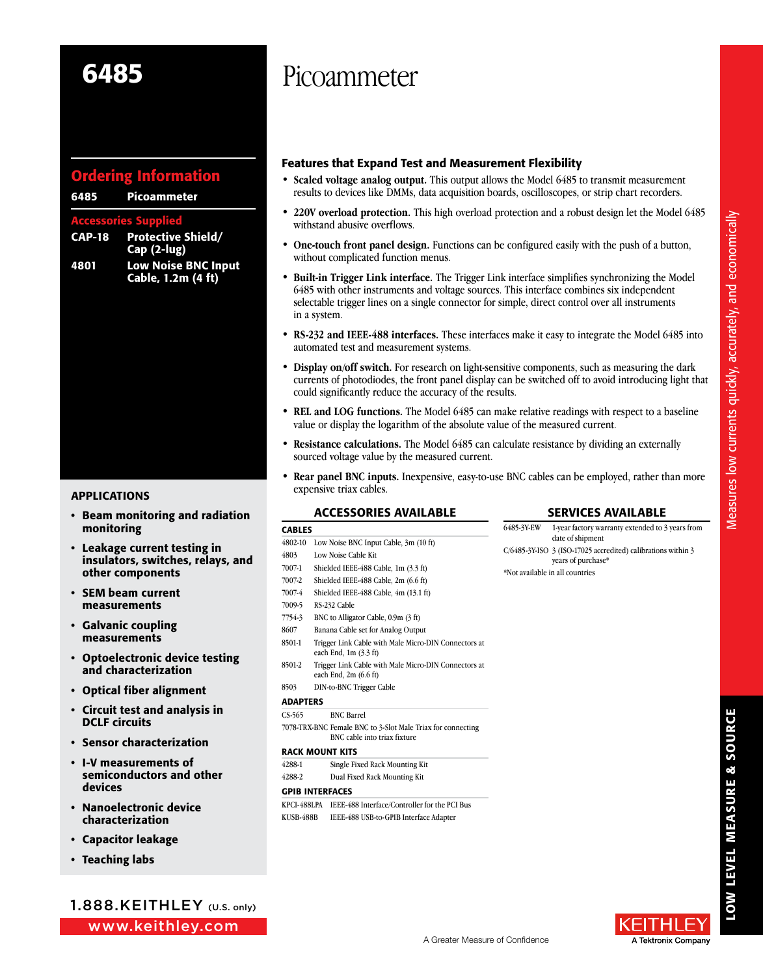## Ordering Information

|                             | 6485 Picoammeter                                 |  |  |
|-----------------------------|--------------------------------------------------|--|--|
| <b>Accessories Supplied</b> |                                                  |  |  |
|                             | <b>CAP-18</b> Protective Shield/<br>Cap (2-lug)  |  |  |
| 4801                        | <b>Low Noise BNC Input</b><br>Cable, 1.2m (4 ft) |  |  |
|                             |                                                  |  |  |
|                             |                                                  |  |  |
|                             |                                                  |  |  |

- Beam monitoring and radiation monitoring
- Leakage current testing in insulators, switches, relays, and other components
- SEM beam current measurements
- Galvanic coupling measurements
- Optoelectronic device testing and characterization
- Optical fiber alignment
- Circuit test and analysis in DCLF circuits
- Sensor characterization
- I-V measurements of semiconductors and other devices
- Nanoelectronic device characterization
- Capacitor leakage
- Teaching labs

www.keithley.com 1.888.KEITHLEY (U.S. only)

# 6485 Picoammeter

### Features that Expand Test and Measurement Flexibility

- **• Scaled voltage analog output.** This output allows the Model 6485 to transmit measurement results to devices like DMMs, data acquisition boards, oscilloscopes, or strip chart recorders.
- 220V overload protection. This high overload protection and a robust design let the Model 6485 withstand abusive overflows.
- **• One-touch front panel design.** Functions can be configured easily with the push of a button, without complicated function menus.
- **• Built-in Trigger Link interface.** The Trigger Link interface simplifies synchronizing the Model 6485 with other instruments and voltage sources. This interface combines six independent selectable trigger lines on a single connector for simple, direct control over all instruments in a system.
- **• RS-232 and IEEE-488 interfaces.** These interfaces make it easy to integrate the Model 6485 into automated test and measurement systems.
- **• Display on/off switch.** For research on light-sensitive components, such as measuring the dark currents of photodiodes, the front panel display can be switched off to avoid introducing light that could significantly reduce the accuracy of the results.
- **• REL and LOG functions.** The Model 6485 can make relative readings with respect to a baseline value or display the logarithm of the absolute value of the measured current.
- **• Resistance calculations.** The Model 6485 can calculate resistance by dividing an externally sourced voltage value by the measured current.
- **Rear panel BNC inputs.** Inexpensive, easy-to-use BNC cables can be employed, rather than more expensive triax cables. APPLICATIONS

### **ACCESSORIES AVAILABLE**

### Services Available

| -----           |                                                                                             |  |  |
|-----------------|---------------------------------------------------------------------------------------------|--|--|
| 4802-10         | Low Noise BNC Input Cable, 3m (10 ft)                                                       |  |  |
| 4803            | Low Noise Cable Kit                                                                         |  |  |
| 7007-1          | Shielded IEEE-488 Cable, 1m (3.3 ft)                                                        |  |  |
| 7007-2          | Shielded IEEE-488 Cable, 2m (6.6 ft)                                                        |  |  |
| 7007-4          | Shielded IEEE-488 Cable, 4m (13.1 ft)                                                       |  |  |
| 7009-5          | RS-232 Cable                                                                                |  |  |
| 7754-3          | BNC to Alligator Cable, 0.9m (3 ft)                                                         |  |  |
| 8607            | Banana Cable set for Analog Output                                                          |  |  |
| 8501-1          | Trigger Link Cable with Male Micro-DIN Connectors at<br>each End, 1m (3.3 ft)               |  |  |
| 8501-2          | Trigger Link Cable with Male Micro-DIN Connectors at<br>each End, 2m (6.6 ft)               |  |  |
| 8503            | DIN-to-BNC Trigger Cable                                                                    |  |  |
| ADAPTERS        |                                                                                             |  |  |
| CS-565          | <b>BNC Barrel</b>                                                                           |  |  |
|                 | 7078 TRX-BNC Female BNC to 3-Slot Male Triax for connecting<br>BNC cable into triax fixture |  |  |
| RACK MOUNT KITS |                                                                                             |  |  |
|                 |                                                                                             |  |  |

4288-1 Single Fixed Rack Mounting Kit

4288-2 Dual Fixed Rack Mounting Kit

#### GPIB Interfaces

CARLES

KPCI-488LPA IEEE-488 Interface/Controller for the PCI Bus KUSB-488B IEEE-488 USB-to-GPIB Interface Adapter

6485-3Y-EW 1-year factory warranty extended to 3 years from date of shipment C/6485-3Y-ISO 3 (ISO-17025 accredited) calibrations within 3 years of purchase\* \*Not available in all countries

> LOW LEVEL MEASURE & SOURCE LOW LEVEL MEASURE & SOURCE